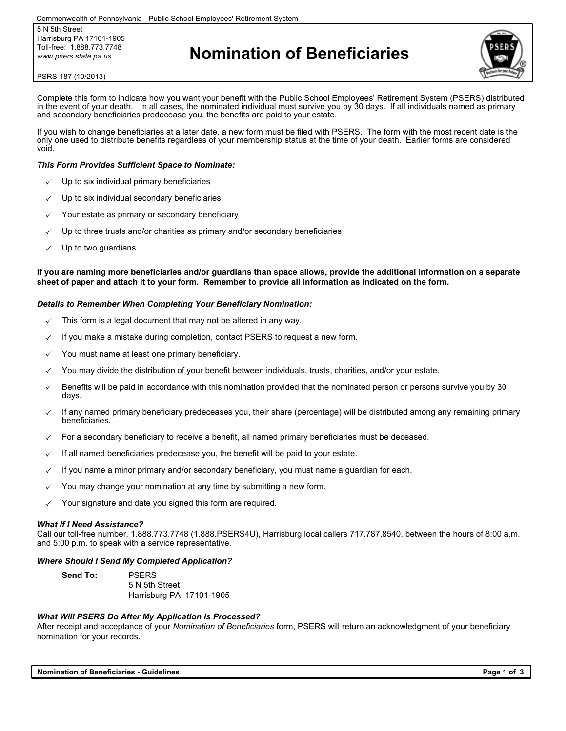5 N 5th Street Harrisburg PA 17101-1905 Toll-free: 1.888.773.7748 *www.psers.state.pa.us*

# **Nomination of Beneficiaries**



#### PSRS-187 (10/2013)

Complete this form to indicate how you want your benefit with the Public School Employees' Retirement System (PSERS) distributed in the event of your death. In all cases, the nominated individual must survive you by 30 days. If all individuals named as primary and secondary beneficiaries predecease you, the benefits are paid to your estate.

If you wish to change beneficiaries at a later date, a new form must be filed with PSERS. The form with the most recent date is the only one used to distribute benefits regardless of your membership status at the time of your death. Earlier forms are considered void.

#### *This Form Provides Sufficient Space to Nominate:*

- Up to six individual primary beneficiaries
- Up to six individual secondary beneficiaries
- Your estate as primary or secondary beneficiary
- Up to three trusts and/or charities as primary and/or secondary beneficiaries
- Up to two guardians

**If you are naming more beneficiaries and/or guardians than space allows, provide the additional information on a separate sheet of paper and attach it to your form. Remember to provide all information as indicated on the form.**

#### *Details to Remember When Completing Your Beneficiary Nomination:*

- This form is a legal document that may not be altered in any way.
- If you make a mistake during completion, contact PSERS to request a new form.
- You must name at least one primary beneficiary.
- You may divide the distribution of your benefit between individuals, trusts, charities, and/or your estate.
- Benefits will be paid in accordance with this nomination provided that the nominated person or persons survive you by 30 days.
- If any named primary beneficiary predeceases you, their share (percentage) will be distributed among any remaining primary beneficiaries.
- For a secondary beneficiary to receive a benefit, all named primary beneficiaries must be deceased.
- If all named beneficiaries predecease you, the benefit will be paid to your estate.
- If you name a minor primary and/or secondary beneficiary, you must name a guardian for each.
- You may change your nomination at any time by submitting a new form.
- Your signature and date you signed this form are required.

#### *What If I Need Assistance?*

Call our toll-free number, 1.888.773.7748 (1.888.PSERS4U), Harrisburg local callers 717.787.8540, between the hours of 8:00 a.m. and 5:00 p.m. to speak with a service representative.

#### *Where Should I Send My Completed Application?*

**Send To:** PSERS 5 N 5th Street Harrisburg PA 17101-1905

#### *What Will PSERS Do After My Application Is Processed?*

After receipt and acceptance of your *Nomination of Beneficiaries* form, PSERS will return an acknowledgment of your beneficiary nomination for your records.

**Nomination of Beneficiaries - Guidelines Page 1 of 3**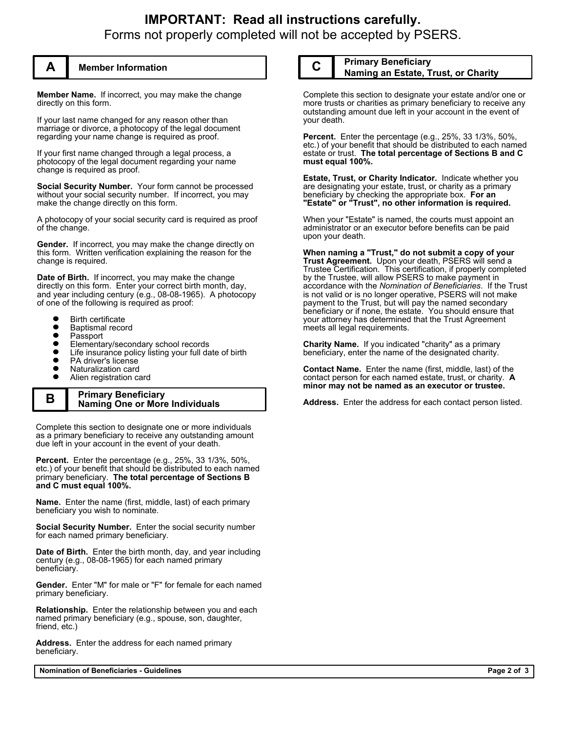## **IMPORTANT: Read all instructions carefully.** Forms not properly completed will not be accepted by PSERS.



### **A Member Information**

**Member Name.** If incorrect, you may make the change directly on this form.

If your last name changed for any reason other than marriage or divorce, a photocopy of the legal document regarding your name change is required as proof.

If your first name changed through a legal process, a photocopy of the legal document regarding your name change is required as proof.

**Social Security Number.** Your form cannot be processed without your social security number. If incorrect, you may make the change directly on this form.

A photocopy of your social security card is required as proof of the change.

**Gender.** If incorrect, you may make the change directly on this form. Written verification explaining the reason for the change is required.

**Date of Birth.** If incorrect, you may make the change directly on this form. Enter your correct birth month, day, and year including century (e.g., 08-08-1965). A photocopy of one of the following is required as proof:

- Birth certificate
- $\bullet$ Baptismal record
- $\bullet$ Passport
- Elementary/secondary school records
- $\bullet$ Life insurance policy listing your full date of birth
- $\bullet$ PA driver's license
- Naturalization card  $\bullet$
- $\bullet$ Alien registration card

#### **B Primary Beneficiary Naming One or More Individuals**

Complete this section to designate one or more individuals as a primary beneficiary to receive any outstanding amount due left in your account in the event of your death.

**Percent.** Enter the percentage (e.g., 25%, 33 1/3%, 50%, etc.) of your benefit that should be distributed to each named primary beneficiary. **The total percentage of Sections B and C must equal 100%.**

**Name.** Enter the name (first, middle, last) of each primary beneficiary you wish to nominate.

**Social Security Number.** Enter the social security number for each named primary beneficiary.

**Date of Birth.** Enter the birth month, day, and year including century (e.g., 08-08-1965) for each named primary beneficiary.

**Gender.** Enter "M" for male or "F" for female for each named primary beneficiary.

**Relationship.** Enter the relationship between you and each named primary beneficiary (e.g., spouse, son, daughter, friend, etc.)

**Address.** Enter the address for each named primary beneficiary.

**Nomination of Beneficiaries - Guidelines Page 2 of 3**

### **C Primary Beneficiary Naming an Estate, Trust, or Charity**

Complete this section to designate your estate and/or one or more trusts or charities as primary beneficiary to receive any outstanding amount due left in your account in the event of your death.

**Percent.** Enter the percentage (e.g., 25%, 33 1/3%, 50%, etc.) of your benefit that should be distributed to each named estate or trust. **The total percentage of Sections B and C must equal 100%.**

**Estate, Trust, or Charity Indicator.** Indicate whether you are designating your estate, trust, or charity as a primary beneficiary by checking the appropriate box. **For an "Estate" or "Trust", no other information is required.**

When your "Estate" is named, the courts must appoint an administrator or an executor before benefits can be paid upon your death.

**When naming a "Trust," do not submit a copy of your Trust Agreement.** Upon your death, PSERS will send a Trustee Certification. This certification, if properly completed by the Trustee, will allow PSERS to make payment in accordance with the *Nomination of Beneficiaries*. If the Trust is not valid or is no longer operative, PSERS will not make payment to the Trust, but will pay the named secondary beneficiary or if none, the estate. You should ensure that your attorney has determined that the Trust Agreement meets all legal requirements.

**Charity Name.** If you indicated "charity" as a primary beneficiary, enter the name of the designated charity.

**Contact Name.** Enter the name (first, middle, last) of the contact person for each named estate, trust, or charity. **A minor may not be named as an executor or trustee.**

**Address.** Enter the address for each contact person listed.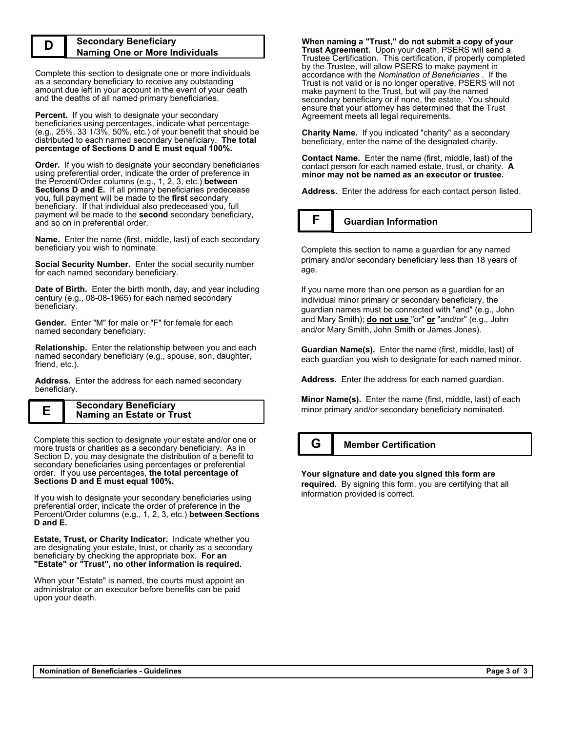#### **D Secondary Beneficiary Naming One or More Individuals**

Complete this section to designate one or more individuals as a secondary beneficiary to receive any outstanding amount due left in your account in the event of your death and the deaths of all named primary beneficiaries.

**Percent.** If you wish to designate your secondary beneficiaries using percentages, indicate what percentage (e.g., 25%, 33 1/3%, 50%, etc.) of your benefit that should be distributed to each named secondary beneficiary. **The total percentage of Sections D and E must equal 100%.**

**Order.** If you wish to designate your secondary beneficiaries using preferential order, indicate the order of preference in the Percent/Order columns (e.g., 1, 2, 3, etc.) **between Sections D and E.** If all primary beneficiaries predecease you, full payment will be made to the **first** secondary beneficiary. If that individual also predeceased you, full payment wil be made to the **second** secondary beneficiary, and so on in preferential order.

**Name.** Enter the name (first, middle, last) of each secondary beneficiary you wish to nominate.

**Social Security Number.** Enter the social security number for each named secondary beneficiary.

**Date of Birth.** Enter the birth month, day, and year including century (e.g., 08-08-1965) for each named secondary beneficiary.

**Gender.** Enter "M" for male or "F" for female for each named secondary beneficiary.

**Relationship.** Enter the relationship between you and each named secondary beneficiary (e.g., spouse, son, daughter, friend, etc.).

**Address.** Enter the address for each named secondary beneficiary.

| Е | <b>Secondary Beneficiary</b>     |
|---|----------------------------------|
|   | <b>Naming an Estate or Trust</b> |

Complete this section to designate your estate and/or one or more trusts or charities as a secondary beneficiary. As in Section D, you may designate the distribution of a benefit to secondary beneficiaries using percentages or preferential order. If you use percentages, **the total percentage of Sections D and E must equal 100%.**

If you wish to designate your secondary beneficiaries using preferential order, indicate the order of preference in the Percent/Order columns (e.g., 1, 2, 3, etc.) **between Sections D and E.**

**Estate, Trust, or Charity Indicator.** Indicate whether you are designating your estate, trust, or charity as a secondary beneficiary by checking the appropriate box. **For an "Estate" or "Trust", no other information is required.**

When your "Estate" is named, the courts must appoint an administrator or an executor before benefits can be paid upon your death.

**When naming a "Trust," do not submit a copy of your Trust Agreement.** Upon your death, PSERS will send a Trustee Certification. This certification, if properly completed by the Trustee, will allow PSERS to make payment in accordance with the *Nomination of Beneficiaries* . If the Trust is not valid or is no longer operative, PSERS will not make payment to the Trust, but will pay the named secondary beneficiary or if none, the estate. You should ensure that your attorney has determined that the Trust Agreement meets all legal requirements.

**Charity Name.** If you indicated "charity" as a secondary beneficiary, enter the name of the designated charity.

**Contact Name.** Enter the name (first, middle, last) of the contact person for each named estate, trust, or charity. **A minor may not be named as an executor or trustee.**

**Address.** Enter the address for each contact person listed.

### **F Guardian Information**

Complete this section to name a guardian for any named primary and/or secondary beneficiary less than 18 years of age.

If you name more than one person as a guardian for an individual minor primary or secondary beneficiary, the guardian names must be connected with "and" (e.g., John and Mary Smith); **do not use** "or" **or** "and/or" (e.g., John and/or Mary Smith, John Smith or James Jones).

**Guardian Name(s).** Enter the name (first, middle, last) of each guardian you wish to designate for each named minor.

**Address.** Enter the address for each named guardian.

**Minor Name(s).** Enter the name (first, middle, last) of each minor primary and/or secondary beneficiary nominated.

### **G Member Certification**

**Your signature and date you signed this form are required.** By signing this form, you are certifying that all information provided is correct.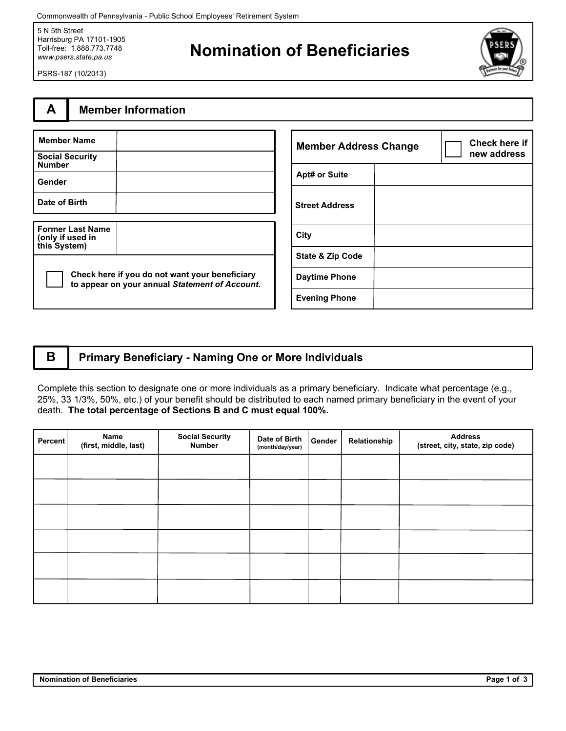Commonwealth of Pennsylvania - Public School Employees' Retirement System

5 N 5th Street Harrisburg PA 17101-1905 Toll-free: 1.888.773.7748 *www.psers.state.pa.us*

# **Nomination of Beneficiaries**



PSRS-187 (10/2013)

## **A Member Information**

| <b>Member Name</b>                                          |                                                                                                  |
|-------------------------------------------------------------|--------------------------------------------------------------------------------------------------|
| <b>Social Security</b><br><b>Number</b>                     |                                                                                                  |
| Gender                                                      |                                                                                                  |
| Date of Birth                                               |                                                                                                  |
|                                                             |                                                                                                  |
| <b>Former Last Name</b><br>(only if used in<br>this System) |                                                                                                  |
|                                                             | Check here if you do not want your beneficiary<br>to appear on your annual Statement of Account. |

| <b>Member Address Change</b> |  | <b>Check here if</b><br>new address |
|------------------------------|--|-------------------------------------|
| <b>Apt# or Suite</b>         |  |                                     |
| <b>Street Address</b>        |  |                                     |
| City                         |  |                                     |
| <b>State &amp; Zip Code</b>  |  |                                     |
| <b>Daytime Phone</b>         |  |                                     |
| <b>Evening Phone</b>         |  |                                     |

### **B Primary Beneficiary - Naming One or More Individuals**

Complete this section to designate one or more individuals as a primary beneficiary. Indicate what percentage (e.g., 25%, 33 1/3%, 50%, etc.) of your benefit should be distributed to each named primary beneficiary in the event of your death. **The total percentage of Sections B and C must equal 100%.**

| Percent | Name<br>(first, middle, last) | <b>Social Security</b><br><b>Number</b> | Date of Birth<br>(month/day/year) | Gender | Relationship | <b>Address</b><br>(street, city, state, zip code) |
|---------|-------------------------------|-----------------------------------------|-----------------------------------|--------|--------------|---------------------------------------------------|
|         |                               |                                         |                                   |        |              |                                                   |
|         |                               |                                         |                                   |        |              |                                                   |
|         |                               |                                         |                                   |        |              |                                                   |
|         |                               |                                         |                                   |        |              |                                                   |
|         |                               |                                         |                                   |        |              |                                                   |
|         |                               |                                         |                                   |        |              |                                                   |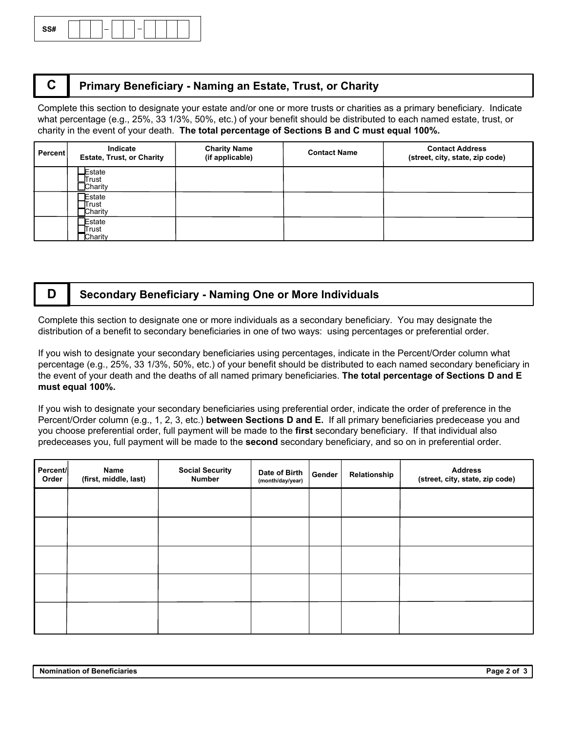

### **C Primary Beneficiary - Naming an Estate, Trust, or Charity**

Complete this section to designate your estate and/or one or more trusts or charities as a primary beneficiary. Indicate what percentage (e.g., 25%, 33 1/3%, 50%, etc.) of your benefit should be distributed to each named estate, trust, or charity in the event of your death. **The total percentage of Sections B and C must equal 100%.**

| Percent | Indicate<br><b>Estate, Trust, or Charity</b> | <b>Charity Name</b><br>(if applicable) | <b>Contact Name</b> | <b>Contact Address</b><br>(street, city, state, zip code) |
|---------|----------------------------------------------|----------------------------------------|---------------------|-----------------------------------------------------------|
|         | Estate<br><b>_I</b> Trust<br>$\Box$ Charity  |                                        |                     |                                                           |
|         | <b>Estate</b><br>Trust<br>Charity            |                                        |                     |                                                           |
|         | Estate<br>Trust<br>Charity                   |                                        |                     |                                                           |

### **D Secondary Beneficiary - Naming One or More Individuals**

Complete this section to designate one or more individuals as a secondary beneficiary. You may designate the distribution of a benefit to secondary beneficiaries in one of two ways: using percentages or preferential order.

If you wish to designate your secondary beneficiaries using percentages, indicate in the Percent/Order column what percentage (e.g., 25%, 33 1/3%, 50%, etc.) of your benefit should be distributed to each named secondary beneficiary in the event of your death and the deaths of all named primary beneficiaries. **The total percentage of Sections D and E must equal 100%.**

If you wish to designate your secondary beneficiaries using preferential order, indicate the order of preference in the Percent/Order column (e.g., 1, 2, 3, etc.) **between Sections D and E.** If all primary beneficiaries predecease you and you choose preferential order, full payment will be made to the **first** secondary beneficiary. If that individual also predeceases you, full payment will be made to the **second** secondary beneficiary, and so on in preferential order.

| Percent/<br>Order | Name<br>(first, middle, last) | <b>Social Security</b><br><b>Number</b> | Date of Birth<br>(month/day/year) | Gender | Relationship | <b>Address</b><br>(street, city, state, zip code) |
|-------------------|-------------------------------|-----------------------------------------|-----------------------------------|--------|--------------|---------------------------------------------------|
|                   |                               |                                         |                                   |        |              |                                                   |
|                   |                               |                                         |                                   |        |              |                                                   |
|                   |                               |                                         |                                   |        |              |                                                   |
|                   |                               |                                         |                                   |        |              |                                                   |
|                   |                               |                                         |                                   |        |              |                                                   |